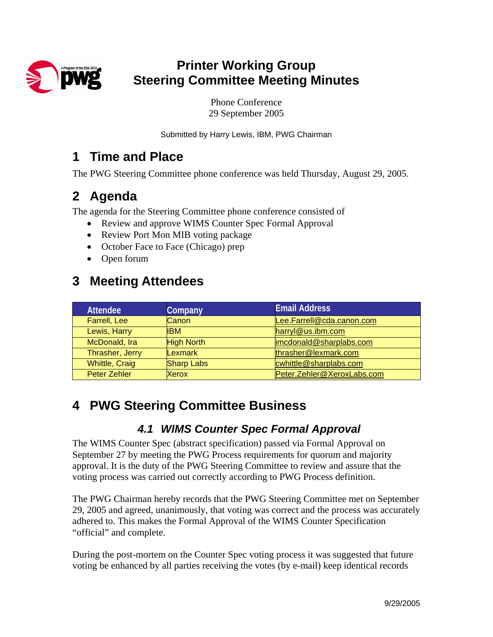

# **Printer Working Group Steering Committee Meeting Minutes**

Phone Conference 29 September 2005

Submitted by Harry Lewis, IBM, PWG Chairman

### **1 Time and Place**

The PWG Steering Committee phone conference was held Thursday, August 29, 2005.

## **2 Agenda**

The agenda for the Steering Committee phone conference consisted of

- Review and approve WIMS Counter Spec Formal Approval
- Review Port Mon MIB voting package
- October Face to Face (Chicago) prep
- Open forum

## **3 Meeting Attendees**

| <b>Attendee</b>       | Company           | <b>Email Address</b>       |
|-----------------------|-------------------|----------------------------|
| Farrell, Lee          | Canon             | Lee.Farrell@cda.canon.com  |
| Lewis, Harry          | <b>IBM</b>        | harryl@us.ibm.com          |
| McDonald, Ira         | <b>High North</b> | imcdonald@sharplabs.com    |
| Thrasher, Jerry       | Lexmark           | thrasher@lexmark.com       |
| <b>Whittle, Craig</b> | <b>Sharp Labs</b> | cwhittle@sharplabs.com     |
| <b>Peter Zehler</b>   | Xerox             | Peter.Zehler@XeroxLabs.com |

# **4 PWG Steering Committee Business**

#### *4.1 WIMS Counter Spec Formal Approval*

The WIMS Counter Spec (abstract specification) passed via Formal Approval on September 27 by meeting the PWG Process requirements for quorum and majority approval. It is the duty of the PWG Steering Committee to review and assure that the voting process was carried out correctly according to PWG Process definition.

The PWG Chairman hereby records that the PWG Steering Committee met on September 29, 2005 and agreed, unanimously, that voting was correct and the process was accurately adhered to. This makes the Formal Approval of the WIMS Counter Specification "official" and complete.

During the post-mortem on the Counter Spec voting process it was suggested that future voting be enhanced by all parties receiving the votes (by e-mail) keep identical records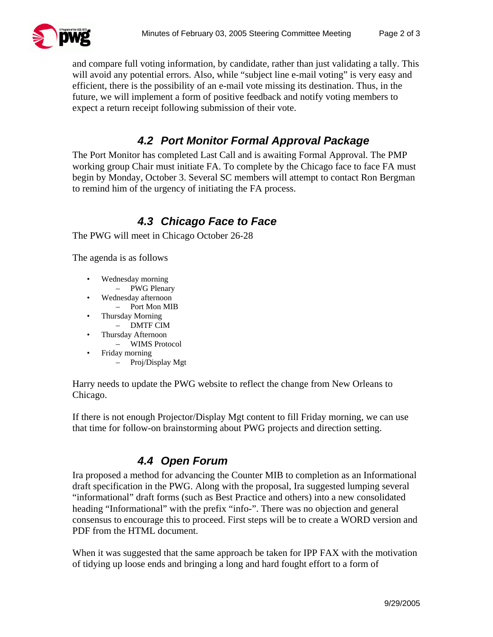

and compare full voting information, by candidate, rather than just validating a tally. This will avoid any potential errors. Also, while "subject line e-mail voting" is very easy and efficient, there is the possibility of an e-mail vote missing its destination. Thus, in the future, we will implement a form of positive feedback and notify voting members to expect a return receipt following submission of their vote.

### *4.2 Port Monitor Formal Approval Package*

The Port Monitor has completed Last Call and is awaiting Formal Approval. The PMP working group Chair must initiate FA. To complete by the Chicago face to face FA must begin by Monday, October 3. Several SC members will attempt to contact Ron Bergman to remind him of the urgency of initiating the FA process.

### *4.3 Chicago Face to Face*

The PWG will meet in Chicago October 26-28

The agenda is as follows

- Wednesday morning – PWG Plenary
- Wednesday afternoon
- Port Mon MIB
- Thursday Morning
	- DMTF CIM
- Thursday Afternoon
	- WIMS Protocol
- Friday morning
	- Proj/Display Mgt

Harry needs to update the PWG website to reflect the change from New Orleans to Chicago.

If there is not enough Projector/Display Mgt content to fill Friday morning, we can use that time for follow-on brainstorming about PWG projects and direction setting.

### *4.4 Open Forum*

Ira proposed a method for advancing the Counter MIB to completion as an Informational draft specification in the PWG. Along with the proposal, Ira suggested lumping several "informational" draft forms (such as Best Practice and others) into a new consolidated heading "Informational" with the prefix "info-". There was no objection and general consensus to encourage this to proceed. First steps will be to create a WORD version and PDF from the HTML document.

When it was suggested that the same approach be taken for IPP FAX with the motivation of tidying up loose ends and bringing a long and hard fought effort to a form of